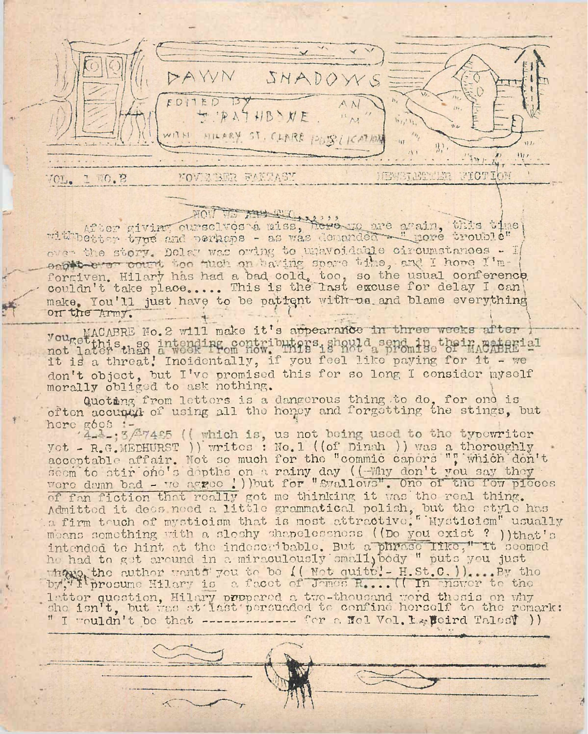

## HOIT TO Att Billy 22 1 1

mithbetter giving ourselves a miss, here ne again, this time over the story. Delay was owing to unavoidable circumstances - I eagle ever count too much on taving spore the, and I hore I'mforgiven. Hilary has had a bad cold, too, so the usual conference, couldn't take place.... This is the last excuse for delay I can make. You'll just have to be pattent with us and blame everything on the Army.

MACABRE No. 2 will make it's appearance in three weeks after yours not later than a week Prom how buters should send in their next fall it is a threat! Incidentally, if you feel like paying for it - we don't object, but I've promised this for so long I consider myself morally obliged to ask nothing.

Quoting from letters is a dangerous thing to do, for one is often accupat of using all the honey and forgetting the stings, but

here good :- 3/27425 ((which is, us not being used to the typewriter yot - R.G. MEDHURST ) ) writes : No.1 ((of Dinah ) ) was a thoroughly accoptable affair. Not so much for the "commic capers ", which don't seem to stir one's depths on a rainy day ((-Why don't you say they were demn bad - we aggee !)) but for "Swallows". One of the fow picces of fan fiction that really got me thinking it was the real thing. Admitted it does need a little grammatical polish, but the style has means something with a sloshy shapelessness ((Do you exist ? ))that's intended to hint at the indescribable. But a phrase like," it seemed he had to get around in a miraculously small body " puts you just whave the author wants you to be (( Not quite! - H.St.C. )).... By the by the lattor question. Hilary propered a two-thousand word thesis on why she isn't, but was at last persuaded to confine herself to the remark: " I wouldn't be that ------------ for a Hel Vol. Le Boird Talesy ) )